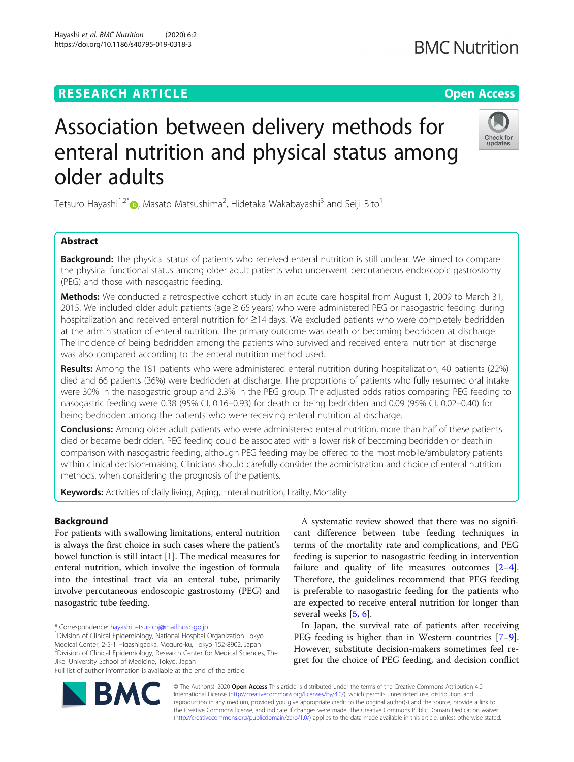## **RESEARCH ARTICLE Example 2018 12:30 The Contract of Contract Contract Open Access**

# Association between delivery methods for enteral nutrition and physical status among older adults

Tetsuro Hayashi<sup>1,2[\\*](http://orcid.org/0000-0003-0722-9986)</sup>®, Masato Matsushima<sup>2</sup>, Hidetaka Wakabayashi<sup>3</sup> and Seiji Bito<sup>1</sup>

## Abstract

**Background:** The physical status of patients who received enteral nutrition is still unclear. We aimed to compare the physical functional status among older adult patients who underwent percutaneous endoscopic gastrostomy (PEG) and those with nasogastric feeding.

Methods: We conducted a retrospective cohort study in an acute care hospital from August 1, 2009 to March 31, 2015. We included older adult patients (age ≥ 65 years) who were administered PEG or nasogastric feeding during hospitalization and received enteral nutrition for ≥14 days. We excluded patients who were completely bedridden at the administration of enteral nutrition. The primary outcome was death or becoming bedridden at discharge. The incidence of being bedridden among the patients who survived and received enteral nutrition at discharge was also compared according to the enteral nutrition method used.

Results: Among the 181 patients who were administered enteral nutrition during hospitalization, 40 patients (22%) died and 66 patients (36%) were bedridden at discharge. The proportions of patients who fully resumed oral intake were 30% in the nasogastric group and 2.3% in the PEG group. The adjusted odds ratios comparing PEG feeding to nasogastric feeding were 0.38 (95% CI, 0.16–0.93) for death or being bedridden and 0.09 (95% CI, 0.02–0.40) for being bedridden among the patients who were receiving enteral nutrition at discharge.

Conclusions: Among older adult patients who were administered enteral nutrition, more than half of these patients died or became bedridden. PEG feeding could be associated with a lower risk of becoming bedridden or death in comparison with nasogastric feeding, although PEG feeding may be offered to the most mobile/ambulatory patients within clinical decision-making. Clinicians should carefully consider the administration and choice of enteral nutrition methods, when considering the prognosis of the patients.

Keywords: Activities of daily living, Aging, Enteral nutrition, Frailty, Mortality

## Background

For patients with swallowing limitations, enteral nutrition is always the first choice in such cases where the patient's bowel function is still intact [[1\]](#page-6-0). The medical measures for enteral nutrition, which involve the ingestion of formula into the intestinal tract via an enteral tube, primarily involve percutaneous endoscopic gastrostomy (PEG) and nasogastric tube feeding.

\* Correspondence: [hayashi.tetsuro.nj@mail.hosp.go.jp](mailto:hayashi.tetsuro.nj@mail.hosp.go.jp) <sup>1</sup>

Division of Clinical Epidemiology, National Hospital Organization Tokyo Medical Center, 2-5-1 Higashigaoka, Meguro-ku, Tokyo 152-8902, Japan 2 Division of Clinical Epidemiology, Research Center for Medical Sciences, The Jikei University School of Medicine, Tokyo, Japan

Full list of author information is available at the end of the article

A systematic review showed that there was no significant difference between tube feeding techniques in terms of the mortality rate and complications, and PEG feeding is superior to nasogastric feeding in intervention failure and quality of life measures outcomes  $[2-4]$  $[2-4]$  $[2-4]$  $[2-4]$ . Therefore, the guidelines recommend that PEG feeding is preferable to nasogastric feeding for the patients who are expected to receive enteral nutrition for longer than several weeks [[5,](#page-6-0) [6\]](#page-6-0).

In Japan, the survival rate of patients after receiving PEG feeding is higher than in Western countries [\[7](#page-6-0)–[9](#page-6-0)]. However, substitute decision-makers sometimes feel regret for the choice of PEG feeding, and decision conflict

© The Author(s). 2020 **Open Access** This article is distributed under the terms of the Creative Commons Attribution 4.0 International License [\(http://creativecommons.org/licenses/by/4.0/](http://creativecommons.org/licenses/by/4.0/)), which permits unrestricted use, distribution, and reproduction in any medium, provided you give appropriate credit to the original author(s) and the source, provide a link to the Creative Commons license, and indicate if changes were made. The Creative Commons Public Domain Dedication waiver [\(http://creativecommons.org/publicdomain/zero/1.0/](http://creativecommons.org/publicdomain/zero/1.0/)) applies to the data made available in this article, unless otherwise stated.





## **BMC Nutrition**

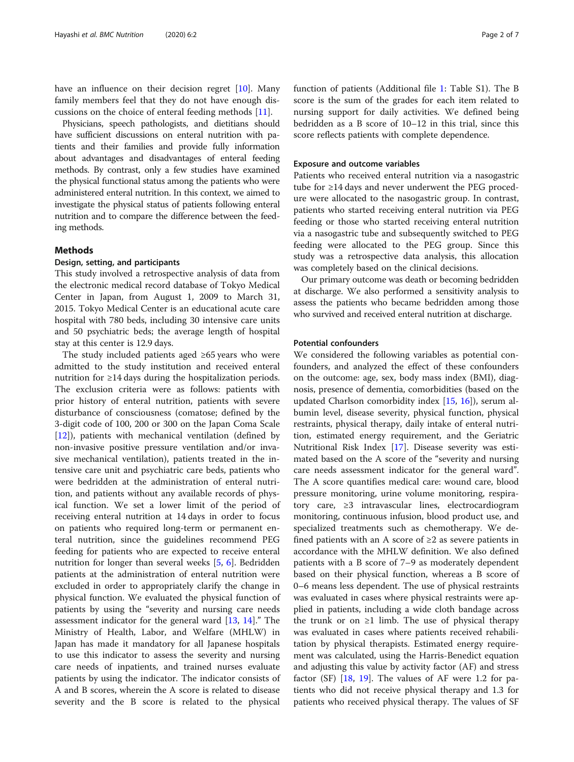have an influence on their decision regret [\[10\]](#page-6-0). Many family members feel that they do not have enough discussions on the choice of enteral feeding methods [[11\]](#page-6-0).

Physicians, speech pathologists, and dietitians should have sufficient discussions on enteral nutrition with patients and their families and provide fully information about advantages and disadvantages of enteral feeding methods. By contrast, only a few studies have examined the physical functional status among the patients who were administered enteral nutrition. In this context, we aimed to investigate the physical status of patients following enteral nutrition and to compare the difference between the feeding methods.

## Methods

## Design, setting, and participants

This study involved a retrospective analysis of data from the electronic medical record database of Tokyo Medical Center in Japan, from August 1, 2009 to March 31, 2015. Tokyo Medical Center is an educational acute care hospital with 780 beds, including 30 intensive care units and 50 psychiatric beds; the average length of hospital stay at this center is 12.9 days.

The study included patients aged ≥65 years who were admitted to the study institution and received enteral nutrition for ≥14 days during the hospitalization periods. The exclusion criteria were as follows: patients with prior history of enteral nutrition, patients with severe disturbance of consciousness (comatose; defined by the 3-digit code of 100, 200 or 300 on the Japan Coma Scale  $[12]$  $[12]$ ), patients with mechanical ventilation (defined by non-invasive positive pressure ventilation and/or invasive mechanical ventilation), patients treated in the intensive care unit and psychiatric care beds, patients who were bedridden at the administration of enteral nutrition, and patients without any available records of physical function. We set a lower limit of the period of receiving enteral nutrition at 14 days in order to focus on patients who required long-term or permanent enteral nutrition, since the guidelines recommend PEG feeding for patients who are expected to receive enteral nutrition for longer than several weeks [[5](#page-6-0), [6\]](#page-6-0). Bedridden patients at the administration of enteral nutrition were excluded in order to appropriately clarify the change in physical function. We evaluated the physical function of patients by using the "severity and nursing care needs assessment indicator for the general ward [[13](#page-6-0), [14\]](#page-6-0)." The Ministry of Health, Labor, and Welfare (MHLW) in Japan has made it mandatory for all Japanese hospitals to use this indicator to assess the severity and nursing care needs of inpatients, and trained nurses evaluate patients by using the indicator. The indicator consists of A and B scores, wherein the A score is related to disease severity and the B score is related to the physical

function of patients (Additional file [1](#page-5-0): Table S1). The B score is the sum of the grades for each item related to nursing support for daily activities. We defined being bedridden as a B score of 10–12 in this trial, since this score reflects patients with complete dependence.

#### Exposure and outcome variables

Patients who received enteral nutrition via a nasogastric tube for ≥14 days and never underwent the PEG procedure were allocated to the nasogastric group. In contrast, patients who started receiving enteral nutrition via PEG feeding or those who started receiving enteral nutrition via a nasogastric tube and subsequently switched to PEG feeding were allocated to the PEG group. Since this study was a retrospective data analysis, this allocation was completely based on the clinical decisions.

Our primary outcome was death or becoming bedridden at discharge. We also performed a sensitivity analysis to assess the patients who became bedridden among those who survived and received enteral nutrition at discharge.

#### Potential confounders

We considered the following variables as potential confounders, and analyzed the effect of these confounders on the outcome: age, sex, body mass index (BMI), diagnosis, presence of dementia, comorbidities (based on the updated Charlson comorbidity index  $[15, 16]$  $[15, 16]$  $[15, 16]$  $[15, 16]$ ), serum albumin level, disease severity, physical function, physical restraints, physical therapy, daily intake of enteral nutrition, estimated energy requirement, and the Geriatric Nutritional Risk Index [\[17\]](#page-6-0). Disease severity was estimated based on the A score of the "severity and nursing care needs assessment indicator for the general ward". The A score quantifies medical care: wound care, blood pressure monitoring, urine volume monitoring, respiratory care, ≥3 intravascular lines, electrocardiogram monitoring, continuous infusion, blood product use, and specialized treatments such as chemotherapy. We defined patients with an A score of  $\geq 2$  as severe patients in accordance with the MHLW definition. We also defined patients with a B score of 7–9 as moderately dependent based on their physical function, whereas a B score of 0–6 means less dependent. The use of physical restraints was evaluated in cases where physical restraints were applied in patients, including a wide cloth bandage across the trunk or on  $\geq 1$  limb. The use of physical therapy was evaluated in cases where patients received rehabilitation by physical therapists. Estimated energy requirement was calculated, using the Harris-Benedict equation and adjusting this value by activity factor (AF) and stress factor (SF)  $[18, 19]$  $[18, 19]$  $[18, 19]$  $[18, 19]$ . The values of AF were 1.2 for patients who did not receive physical therapy and 1.3 for patients who received physical therapy. The values of SF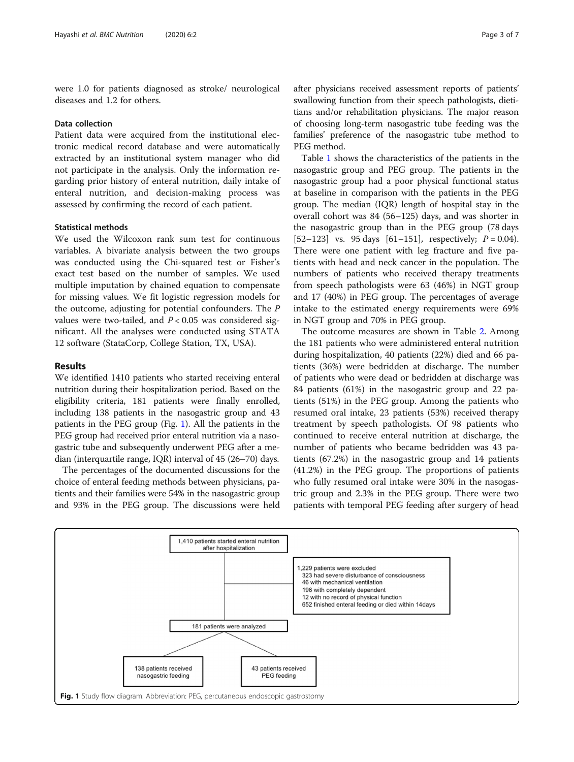were 1.0 for patients diagnosed as stroke/ neurological diseases and 1.2 for others.

#### Data collection

Patient data were acquired from the institutional electronic medical record database and were automatically extracted by an institutional system manager who did not participate in the analysis. Only the information regarding prior history of enteral nutrition, daily intake of enteral nutrition, and decision-making process was assessed by confirming the record of each patient.

## Statistical methods

We used the Wilcoxon rank sum test for continuous variables. A bivariate analysis between the two groups was conducted using the Chi-squared test or Fisher's exact test based on the number of samples. We used multiple imputation by chained equation to compensate for missing values. We fit logistic regression models for the outcome, adjusting for potential confounders. The P values were two-tailed, and  $P < 0.05$  was considered significant. All the analyses were conducted using STATA 12 software (StataCorp, College Station, TX, USA).

## Results

We identified 1410 patients who started receiving enteral nutrition during their hospitalization period. Based on the eligibility criteria, 181 patients were finally enrolled, including 138 patients in the nasogastric group and 43 patients in the PEG group (Fig. 1). All the patients in the PEG group had received prior enteral nutrition via a nasogastric tube and subsequently underwent PEG after a median (interquartile range, IQR) interval of 45 (26–70) days.

The percentages of the documented discussions for the choice of enteral feeding methods between physicians, patients and their families were 54% in the nasogastric group and 93% in the PEG group. The discussions were held after physicians received assessment reports of patients' swallowing function from their speech pathologists, dietitians and/or rehabilitation physicians. The major reason of choosing long-term nasogastric tube feeding was the families' preference of the nasogastric tube method to PEG method.

Table [1](#page-3-0) shows the characteristics of the patients in the nasogastric group and PEG group. The patients in the nasogastric group had a poor physical functional status at baseline in comparison with the patients in the PEG group. The median (IQR) length of hospital stay in the overall cohort was 84 (56–125) days, and was shorter in the nasogastric group than in the PEG group (78 days [52–123] vs. 95 days [61–151], respectively;  $P = 0.04$ ). There were one patient with leg fracture and five patients with head and neck cancer in the population. The numbers of patients who received therapy treatments from speech pathologists were 63 (46%) in NGT group and 17 (40%) in PEG group. The percentages of average intake to the estimated energy requirements were 69% in NGT group and 70% in PEG group.

The outcome measures are shown in Table [2](#page-4-0). Among the 181 patients who were administered enteral nutrition during hospitalization, 40 patients (22%) died and 66 patients (36%) were bedridden at discharge. The number of patients who were dead or bedridden at discharge was 84 patients (61%) in the nasogastric group and 22 patients (51%) in the PEG group. Among the patients who resumed oral intake, 23 patients (53%) received therapy treatment by speech pathologists. Of 98 patients who continued to receive enteral nutrition at discharge, the number of patients who became bedridden was 43 patients (67.2%) in the nasogastric group and 14 patients (41.2%) in the PEG group. The proportions of patients who fully resumed oral intake were 30% in the nasogastric group and 2.3% in the PEG group. There were two patients with temporal PEG feeding after surgery of head

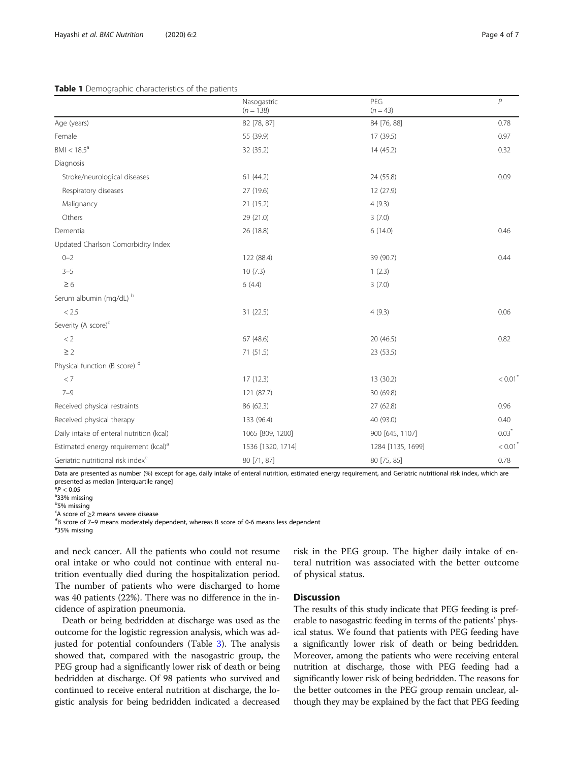#### <span id="page-3-0"></span>Table 1 Demographic characteristics of the patients

|                                                  | Nasogastric<br>$(n = 138)$ | PEG<br>$(n = 43)$ | $\overline{P}$        |
|--------------------------------------------------|----------------------------|-------------------|-----------------------|
|                                                  |                            |                   | 0.78                  |
| Age (years)                                      | 82 [78, 87]                | 84 [76, 88]       |                       |
| Female                                           | 55 (39.9)                  | 17 (39.5)         | 0.97                  |
| $BMI < 18.5^a$                                   | 32 (35.2)                  | 14 (45.2)         | 0.32                  |
| Diagnosis                                        |                            |                   |                       |
| Stroke/neurological diseases                     | 61(44.2)                   | 24 (55.8)         | 0.09                  |
| Respiratory diseases                             | 27 (19.6)                  | 12 (27.9)         |                       |
| Malignancy                                       | 21(15.2)                   | 4(9.3)            |                       |
| Others                                           | 29 (21.0)                  | 3(7.0)            |                       |
| Dementia                                         | 26 (18.8)                  | 6(14.0)           | 0.46                  |
| Updated Charlson Comorbidity Index               |                            |                   |                       |
| $0 - 2$                                          | 122 (88.4)                 | 39 (90.7)         | 0.44                  |
| $3 - 5$                                          | 10(7.3)                    | 1(2.3)            |                       |
| $\geq 6$                                         | 6(4.4)                     | 3(7.0)            |                       |
| Serum albumin (mg/dL) b                          |                            |                   |                       |
| < 2.5                                            | 31(22.5)                   | 4(9.3)            | 0.06                  |
| Severity (A score) <sup>c</sup>                  |                            |                   |                       |
| < 2                                              | 67(48.6)                   | 20 (46.5)         | 0.82                  |
| $\geq$ 2                                         | 71 (51.5)                  | 23 (53.5)         |                       |
| Physical function (B score) <sup>d</sup>         |                            |                   |                       |
| < 7                                              | 17(12.3)                   | 13 (30.2)         | $< 0.01$ <sup>*</sup> |
| $7 - 9$                                          | 121 (87.7)                 | 30 (69.8)         |                       |
| Received physical restraints                     | 86 (62.3)                  | 27 (62.8)         | 0.96                  |
| Received physical therapy                        | 133 (96.4)                 | 40 (93.0)         | 0.40                  |
| Daily intake of enteral nutrition (kcal)         | 1065 [809, 1200]           | 900 [645, 1107]   | $0.03*$               |
| Estimated energy requirement (kcal) <sup>a</sup> | 1536 [1320, 1714]          | 1284 [1135, 1699] | $< 0.01$ <sup>*</sup> |
| Geriatric nutritional risk indexe                | 80 [71, 87]                | 80 [75, 85]       | 0.78                  |

Data are presented as number (%) except for age, daily intake of enteral nutrition, estimated energy requirement, and Geriatric nutritional risk index, which are presented as median [interquartile range]

 $*P < 0.05$ 

33% missing

<sup>b</sup>5% missing

 $\frac{c}{dR}$  score of  $\geq$ 2 means severe disease

 $^{\text{d}}$ B score of 7–9 means moderately dependent, whereas B score of 0-6 means less dependent

35% missing

and neck cancer. All the patients who could not resume oral intake or who could not continue with enteral nutrition eventually died during the hospitalization period. The number of patients who were discharged to home was 40 patients (22%). There was no difference in the incidence of aspiration pneumonia.

Death or being bedridden at discharge was used as the outcome for the logistic regression analysis, which was adjusted for potential confounders (Table [3\)](#page-4-0). The analysis showed that, compared with the nasogastric group, the PEG group had a significantly lower risk of death or being bedridden at discharge. Of 98 patients who survived and continued to receive enteral nutrition at discharge, the logistic analysis for being bedridden indicated a decreased

risk in the PEG group. The higher daily intake of enteral nutrition was associated with the better outcome of physical status.

## **Discussion**

The results of this study indicate that PEG feeding is preferable to nasogastric feeding in terms of the patients' physical status. We found that patients with PEG feeding have a significantly lower risk of death or being bedridden. Moreover, among the patients who were receiving enteral nutrition at discharge, those with PEG feeding had a significantly lower risk of being bedridden. The reasons for the better outcomes in the PEG group remain unclear, although they may be explained by the fact that PEG feeding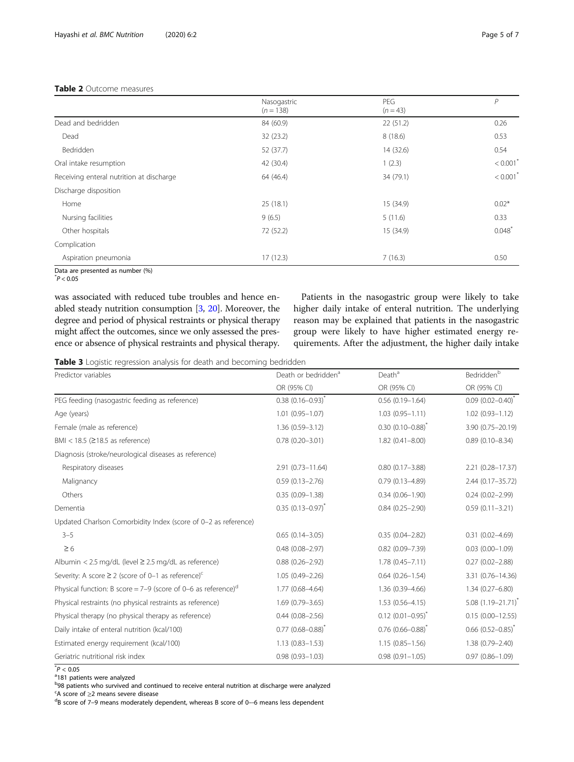## <span id="page-4-0"></span>Table 2 Outcome measures

|                                          | Nasogastric | PEG        | P                      |  |
|------------------------------------------|-------------|------------|------------------------|--|
|                                          | $(n = 138)$ | $(n = 43)$ |                        |  |
| Dead and bedridden                       | 84 (60.9)   | 22(51.2)   | 0.26                   |  |
| Dead                                     | 32 (23.2)   | 8(18.6)    | 0.53                   |  |
| Bedridden                                | 52 (37.7)   | 14 (32.6)  | 0.54                   |  |
| Oral intake resumption                   | 42 (30.4)   | 1(2.3)     | $< 0.001$ <sup>*</sup> |  |
| Receiving enteral nutrition at discharge | 64 (46.4)   | 34 (79.1)  | $< 0.001$ <sup>*</sup> |  |
| Discharge disposition                    |             |            |                        |  |
| Home                                     | 25(18.1)    | 15 (34.9)  | $0.02*$                |  |
| Nursing facilities                       | 9(6.5)      | 5(11.6)    | 0.33                   |  |
| Other hospitals                          | 72 (52.2)   | 15 (34.9)  | $0.048$ <sup>*</sup>   |  |
| Complication                             |             |            |                        |  |
| Aspiration pneumonia                     | 17(12.3)    | 7(16.3)    | 0.50                   |  |

Data are presented as number (%)

 $^*P < 0.05$ 

was associated with reduced tube troubles and hence enabled steady nutrition consumption [[3,](#page-6-0) [20](#page-6-0)]. Moreover, the degree and period of physical restraints or physical therapy might affect the outcomes, since we only assessed the presence or absence of physical restraints and physical therapy.

Patients in the nasogastric group were likely to take higher daily intake of enteral nutrition. The underlying reason may be explained that patients in the nasogastric group were likely to have higher estimated energy requirements. After the adjustment, the higher daily intake

|  |  |  |  |  |  | Table 3 Logistic regression analysis for death and becoming bedridden |  |
|--|--|--|--|--|--|-----------------------------------------------------------------------|--|
|--|--|--|--|--|--|-----------------------------------------------------------------------|--|

| Predictor variables                                                       | Death or bedridden <sup>a</sup> | Death <sup>a</sup>         | Bedridden <sup>b</sup>    |
|---------------------------------------------------------------------------|---------------------------------|----------------------------|---------------------------|
|                                                                           | OR (95% CI)                     | OR (95% CI)                | OR (95% CI)               |
| PEG feeding (nasogastric feeding as reference)                            | $0.38$ $(0.16 - 0.93)^{*}$      | $0.56(0.19 - 1.64)$        | $0.09(0.02 - 0.40)^{*}$   |
| Age (years)                                                               | $1.01(0.95 - 1.07)$             | $1.03(0.95 - 1.11)$        | $1.02(0.93 - 1.12)$       |
| Female (male as reference)                                                | $1.36(0.59 - 3.12)$             | $0.30(0.10 - 0.88)^T$      | 3.90 (0.75-20.19)         |
| BMI < $18.5$ ( $\geq$ 18.5 as reference)                                  | $0.78(0.20 - 3.01)$             | $1.82(0.41 - 8.00)$        | $0.89(0.10 - 8.34)$       |
| Diagnosis (stroke/neurological diseases as reference)                     |                                 |                            |                           |
| Respiratory diseases                                                      | 2.91 (0.73-11.64)               | $0.80(0.17 - 3.88)$        | $2.21(0.28 - 17.37)$      |
| Malignancy                                                                | $0.59(0.13 - 2.76)$             | $0.79(0.13 - 4.89)$        | $2.44(0.17 - 35.72)$      |
| Others                                                                    | $0.35(0.09 - 1.38)$             | $0.34(0.06 - 1.90)$        | $0.24(0.02 - 2.99)$       |
| Dementia                                                                  | $0.35(0.13 - 0.97)^{*}$         | $0.84(0.25 - 2.90)$        | $0.59(0.11 - 3.21)$       |
| Updated Charlson Comorbidity Index (score of 0-2 as reference)            |                                 |                            |                           |
| $3 - 5$                                                                   | $0.65(0.14 - 3.05)$             | $0.35(0.04 - 2.82)$        | $0.31(0.02 - 4.69)$       |
| $\geq 6$                                                                  | $0.48(0.08 - 2.97)$             | $0.82(0.09 - 7.39)$        | $0.03(0.00 - 1.09)$       |
| Albumin < 2.5 mg/dL (level $\geq$ 2.5 mg/dL as reference)                 | $0.88$ $(0.26 - 2.92)$          | $1.78(0.45 - 7.11)$        | $0.27(0.02 - 2.88)$       |
| Severity: A score $\geq 2$ (score of 0-1 as reference) <sup>c</sup>       | $1.05(0.49 - 2.26)$             | $0.64(0.26 - 1.54)$        | 3.31 (0.76-14.36)         |
| Physical function: B score = 7-9 (score of 0-6 as reference) <sup>d</sup> | $1.77(0.68 - 4.64)$             | $1.36(0.39 - 4.66)$        | $1.34(0.27 - 6.80)$       |
| Physical restraints (no physical restraints as reference)                 | $1.69(0.79 - 3.65)$             | $1.53(0.56 - 4.15)$        | $5.08$ $(1.19 - 21.71)^*$ |
| Physical therapy (no physical therapy as reference)                       | $0.44(0.08 - 2.56)$             | $0.12$ $(0.01 - 0.95)^{*}$ | $0.15(0.00 - 12.55)$      |
| Daily intake of enteral nutrition (kcal/100)                              | $0.77$ $(0.68 - 0.88)^{*}$      | $0.76$ $(0.66 - 0.88)^{*}$ | $0.66$ $(0.52 - 0.85)^T$  |
| Estimated energy requirement (kcal/100)                                   | $1.13(0.83 - 1.53)$             | $1.15(0.85 - 1.56)$        | $1.38(0.79 - 2.40)$       |
| Geriatric nutritional risk index                                          | $0.98(0.93 - 1.03)$             | $0.98(0.91 - 1.05)$        | $0.97(0.86 - 1.09)$       |

 $^*P < 0.05$ <br><sup>a</sup>181 pati

<sup>a</sup>181 patients were analyzed

<sup>b</sup>98 patients who survived and continued to receive enteral nutrition at discharge were analyzed

 $\epsilon$  A score of  $\geq$ 2 means severe disease

 $\mathrm{^{d}B}$  score of 7-9 means moderately dependent, whereas B score of 0--6 means less dependent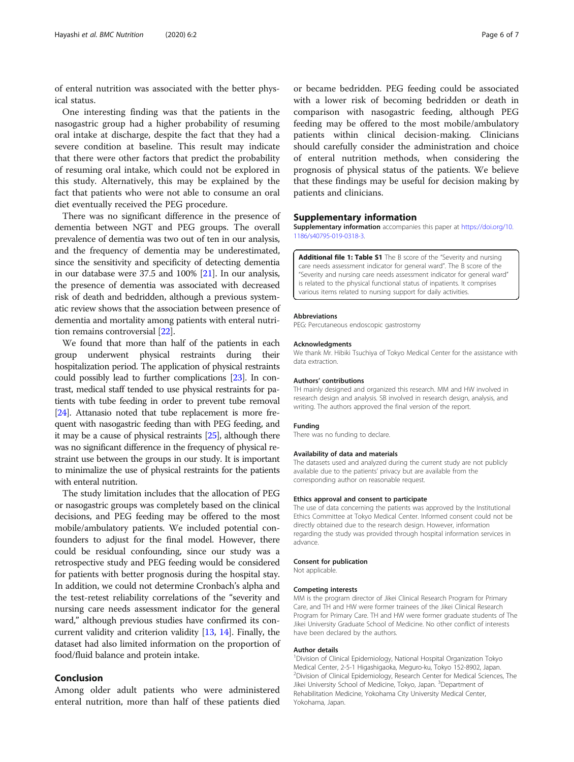<span id="page-5-0"></span>of enteral nutrition was associated with the better physical status.

One interesting finding was that the patients in the nasogastric group had a higher probability of resuming oral intake at discharge, despite the fact that they had a severe condition at baseline. This result may indicate that there were other factors that predict the probability of resuming oral intake, which could not be explored in this study. Alternatively, this may be explained by the fact that patients who were not able to consume an oral diet eventually received the PEG procedure.

There was no significant difference in the presence of dementia between NGT and PEG groups. The overall prevalence of dementia was two out of ten in our analysis, and the frequency of dementia may be underestimated, since the sensitivity and specificity of detecting dementia in our database were 37.5 and 100% [[21](#page-6-0)]. In our analysis, the presence of dementia was associated with decreased risk of death and bedridden, although a previous systematic review shows that the association between presence of dementia and mortality among patients with enteral nutrition remains controversial [\[22\]](#page-6-0).

We found that more than half of the patients in each group underwent physical restraints during their hospitalization period. The application of physical restraints could possibly lead to further complications [[23](#page-6-0)]. In contrast, medical staff tended to use physical restraints for patients with tube feeding in order to prevent tube removal [[24](#page-6-0)]. Attanasio noted that tube replacement is more frequent with nasogastric feeding than with PEG feeding, and it may be a cause of physical restraints [\[25\]](#page-6-0), although there was no significant difference in the frequency of physical restraint use between the groups in our study. It is important to minimalize the use of physical restraints for the patients with enteral nutrition.

The study limitation includes that the allocation of PEG or nasogastric groups was completely based on the clinical decisions, and PEG feeding may be offered to the most mobile/ambulatory patients. We included potential confounders to adjust for the final model. However, there could be residual confounding, since our study was a retrospective study and PEG feeding would be considered for patients with better prognosis during the hospital stay. In addition, we could not determine Cronbach's alpha and the test-retest reliability correlations of the "severity and nursing care needs assessment indicator for the general ward," although previous studies have confirmed its concurrent validity and criterion validity [[13](#page-6-0), [14](#page-6-0)]. Finally, the dataset had also limited information on the proportion of food/fluid balance and protein intake.

## Conclusion

Among older adult patients who were administered enteral nutrition, more than half of these patients died

or became bedridden. PEG feeding could be associated with a lower risk of becoming bedridden or death in comparison with nasogastric feeding, although PEG feeding may be offered to the most mobile/ambulatory patients within clinical decision-making. Clinicians should carefully consider the administration and choice of enteral nutrition methods, when considering the prognosis of physical status of the patients. We believe that these findings may be useful for decision making by patients and clinicians.

#### Supplementary information

Supplementary information accompanies this paper at [https://doi.org/10.](https://doi.org/10.1186/s40795-019-0318-3) [1186/s40795-019-0318-3.](https://doi.org/10.1186/s40795-019-0318-3)

Additional file 1: Table S1 The B score of the "Severity and nursing care needs assessment indicator for general ward". The B score of the "Severity and nursing care needs assessment indicator for general ward" is related to the physical functional status of inpatients. It comprises various items related to nursing support for daily activities.

#### Abbreviations

PEG: Percutaneous endoscopic gastrostomy

#### Acknowledgments

We thank Mr. Hibiki Tsuchiya of Tokyo Medical Center for the assistance with data extraction.

#### Authors' contributions

TH mainly designed and organized this research. MM and HW involved in research design and analysis. SB involved in research design, analysis, and writing. The authors approved the final version of the report.

#### Funding

There was no funding to declare.

#### Availability of data and materials

The datasets used and analyzed during the current study are not publicly available due to the patients' privacy but are available from the corresponding author on reasonable request.

#### Ethics approval and consent to participate

The use of data concerning the patients was approved by the Institutional Ethics Committee at Tokyo Medical Center. Informed consent could not be directly obtained due to the research design. However, information regarding the study was provided through hospital information services in advance.

#### Consent for publication

Not applicable.

#### Competing interests

MM is the program director of Jikei Clinical Research Program for Primary Care, and TH and HW were former trainees of the Jikei Clinical Research Program for Primary Care. TH and HW were former graduate students of The Jikei University Graduate School of Medicine. No other conflict of interests have been declared by the authors.

#### Author details

<sup>1</sup> Division of Clinical Epidemiology, National Hospital Organization Tokyc Medical Center, 2-5-1 Higashigaoka, Meguro-ku, Tokyo 152-8902, Japan. <sup>2</sup> Division of Clinical Epidemiology, Research Center for Medical Sciences, The Jikei University School of Medicine, Tokyo, Japan. <sup>3</sup>Department of Rehabilitation Medicine, Yokohama City University Medical Center, Yokohama, Japan.